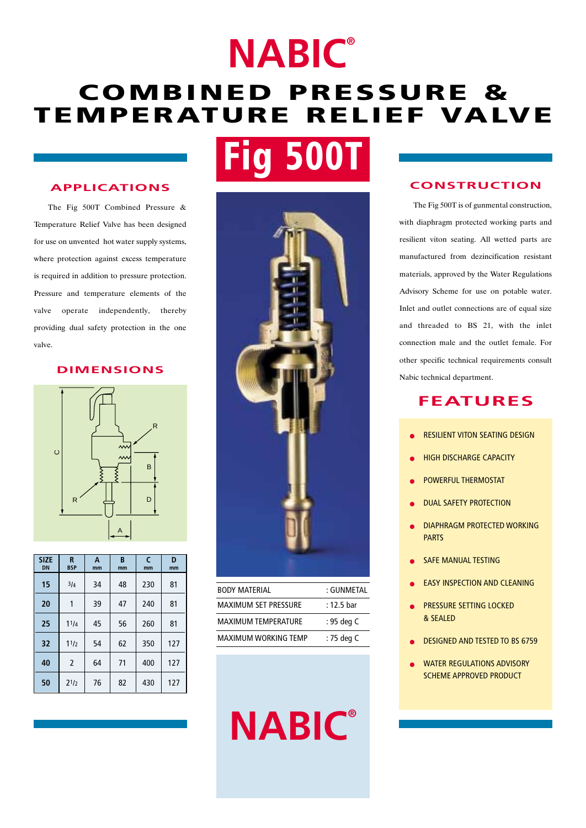## **COMBINED PRESSURE & TEMPERATURE RELIEF VALVE NABIC®**

### **APPLICATIONS**

The Fig 500T Combined Pressure & Temperature Relief Valve has been designed for use on unvented hot water supply systems, where protection against excess temperature is required in addition to pressure protection. Pressure and temperature elements of the valve operate independently, thereby providing dual safety protection in the one valve.

### **DIMENSIONS**



| <b>SIZE</b><br><b>DN</b> | R<br><b>BSP</b> | A<br>mm | B<br>mm | C<br>mm | D<br>mm |
|--------------------------|-----------------|---------|---------|---------|---------|
| 15                       | 3/4             | 34      | 48      | 230     | 81      |
| 20                       | 1               | 39      | 47      | 240     | 81      |
| 25                       | 11/4            | 45      | 56      | 260     | 81      |
| 32                       | 11/2            | 54      | 62      | 350     | 127     |
| 40                       | $\overline{2}$  | 64      | 71      | 400     | 127     |
| 50                       | 21/2            | 76      | 82      | 430     | 127     |



| : GUNMETAL |
|------------|
| : 12.5 bar |
| : 95 deg C |
| : 75 deg C |
|            |

# **NABIC®**

#### **CONSTRUCTION**

The Fig 500T is of gunmental construction, with diaphragm protected working parts and resilient viton seating. All wetted parts are manufactured from dezincification resistant materials, approved by the Water Regulations Advisory Scheme for use on potable water. Inlet and outlet connections are of equal size and threaded to BS 21, with the inlet connection male and the outlet female. For other specific technical requirements consult Nabic technical department.

### **FEATURES**

- **RESILIENT VITON SEATING DESIGN**
- **HIGH DISCHARGE CAPACITY**
- POWERFUL THERMOSTAT
- DUAL SAFETY PROTECTION
- DIAPHRAGM PROTECTED WORKING **PARTS**
- **SAFE MANUAL TESTING**
- **EASY INSPECTION AND CLEANING**
- PRESSURE SETTING LOCKED & SEALED
- DESIGNED AND TESTED TO BS 6759
- WATER REGULATIONS ADVISORY SCHEME APPROVED PRODUCT